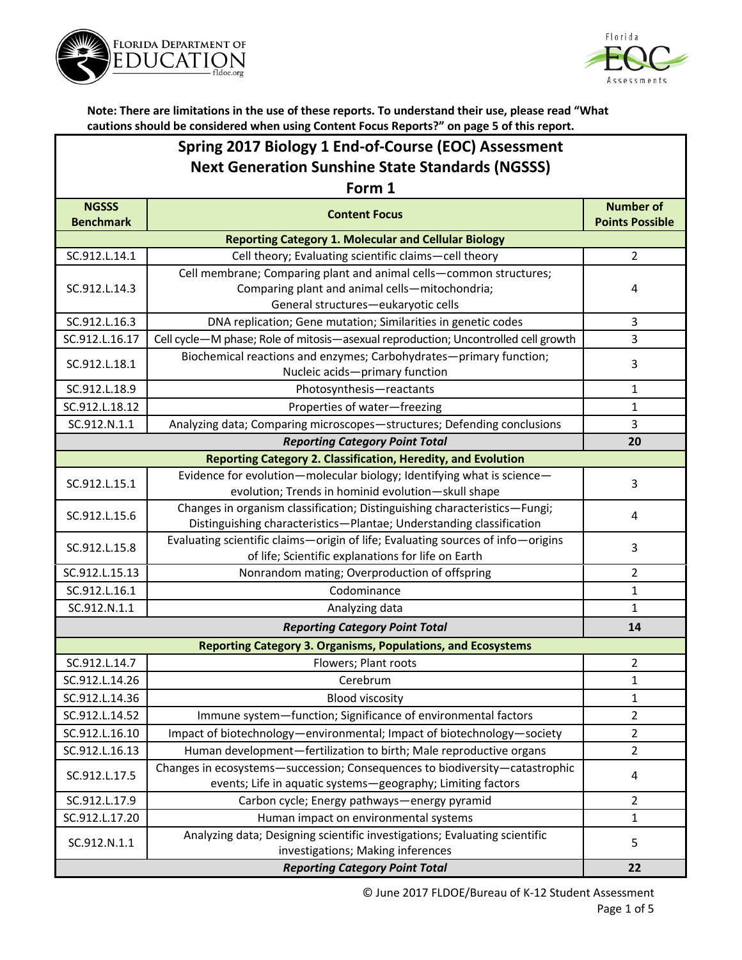



| Spring 2017 Biology 1 End-of-Course (EOC) Assessment    |
|---------------------------------------------------------|
| <b>Next Generation Sunshine State Standards (NGSSS)</b> |

| Form 1                                                              |                                                                                    |                                            |  |  |
|---------------------------------------------------------------------|------------------------------------------------------------------------------------|--------------------------------------------|--|--|
| <b>NGSSS</b><br><b>Benchmark</b>                                    | <b>Content Focus</b>                                                               | <b>Number of</b><br><b>Points Possible</b> |  |  |
|                                                                     | <b>Reporting Category 1. Molecular and Cellular Biology</b>                        |                                            |  |  |
| SC.912.L.14.1                                                       | Cell theory; Evaluating scientific claims-cell theory                              | $\overline{2}$                             |  |  |
|                                                                     | Cell membrane; Comparing plant and animal cells-common structures;                 |                                            |  |  |
| SC.912.L.14.3                                                       | Comparing plant and animal cells-mitochondria;                                     | 4                                          |  |  |
|                                                                     | General structures-eukaryotic cells                                                |                                            |  |  |
| SC.912.L.16.3                                                       | DNA replication; Gene mutation; Similarities in genetic codes                      | 3                                          |  |  |
| SC.912.L.16.17                                                      | Cell cycle-M phase; Role of mitosis-asexual reproduction; Uncontrolled cell growth | 3                                          |  |  |
| SC.912.L.18.1                                                       | Biochemical reactions and enzymes; Carbohydrates-primary function;                 | 3                                          |  |  |
|                                                                     | Nucleic acids-primary function                                                     |                                            |  |  |
| SC.912.L.18.9                                                       | Photosynthesis-reactants                                                           | 1                                          |  |  |
| SC.912.L.18.12                                                      | Properties of water-freezing                                                       | $\mathbf{1}$                               |  |  |
| SC.912.N.1.1                                                        | Analyzing data; Comparing microscopes-structures; Defending conclusions            | 3                                          |  |  |
|                                                                     | <b>Reporting Category Point Total</b>                                              | 20                                         |  |  |
|                                                                     | <b>Reporting Category 2. Classification, Heredity, and Evolution</b>               |                                            |  |  |
| SC.912.L.15.1                                                       | Evidence for evolution-molecular biology; Identifying what is science-             | 3                                          |  |  |
|                                                                     | evolution; Trends in hominid evolution-skull shape                                 |                                            |  |  |
| SC.912.L.15.6                                                       | Changes in organism classification; Distinguishing characteristics-Fungi;          | 4                                          |  |  |
|                                                                     | Distinguishing characteristics-Plantae; Understanding classification               |                                            |  |  |
| SC.912.L.15.8                                                       | Evaluating scientific claims-origin of life; Evaluating sources of info-origins    | 3                                          |  |  |
|                                                                     | of life; Scientific explanations for life on Earth                                 |                                            |  |  |
| SC.912.L.15.13                                                      | Nonrandom mating; Overproduction of offspring                                      | $\overline{2}$                             |  |  |
| SC.912.L.16.1                                                       | Codominance                                                                        | $\mathbf{1}$                               |  |  |
| SC.912.N.1.1                                                        | Analyzing data                                                                     | 1                                          |  |  |
|                                                                     | <b>Reporting Category Point Total</b>                                              | 14                                         |  |  |
| <b>Reporting Category 3. Organisms, Populations, and Ecosystems</b> |                                                                                    |                                            |  |  |
| SC.912.L.14.7                                                       | Flowers; Plant roots                                                               | 2                                          |  |  |
| SC.912.L.14.26                                                      | Cerebrum                                                                           | $\mathbf{1}$                               |  |  |
| SC.912.L.14.36                                                      | <b>Blood viscosity</b>                                                             | $\mathbf{1}$                               |  |  |
| SC.912.L.14.52                                                      | Immune system-function; Significance of environmental factors                      | $\overline{2}$                             |  |  |
| SC.912.L.16.10                                                      | Impact of biotechnology-environmental; Impact of biotechnology-society             | 2                                          |  |  |
| SC.912.L.16.13                                                      | Human development-fertilization to birth; Male reproductive organs                 | 2                                          |  |  |
|                                                                     | Changes in ecosystems-succession; Consequences to biodiversity-catastrophic        | 4                                          |  |  |
| SC.912.L.17.5                                                       | events; Life in aquatic systems-geography; Limiting factors                        |                                            |  |  |
| SC.912.L.17.9                                                       | Carbon cycle; Energy pathways-energy pyramid                                       | $\overline{2}$                             |  |  |
| SC.912.L.17.20                                                      | Human impact on environmental systems                                              | 1                                          |  |  |
| SC.912.N.1.1                                                        | Analyzing data; Designing scientific investigations; Evaluating scientific         | 5                                          |  |  |
|                                                                     | investigations; Making inferences                                                  |                                            |  |  |
|                                                                     | 22                                                                                 |                                            |  |  |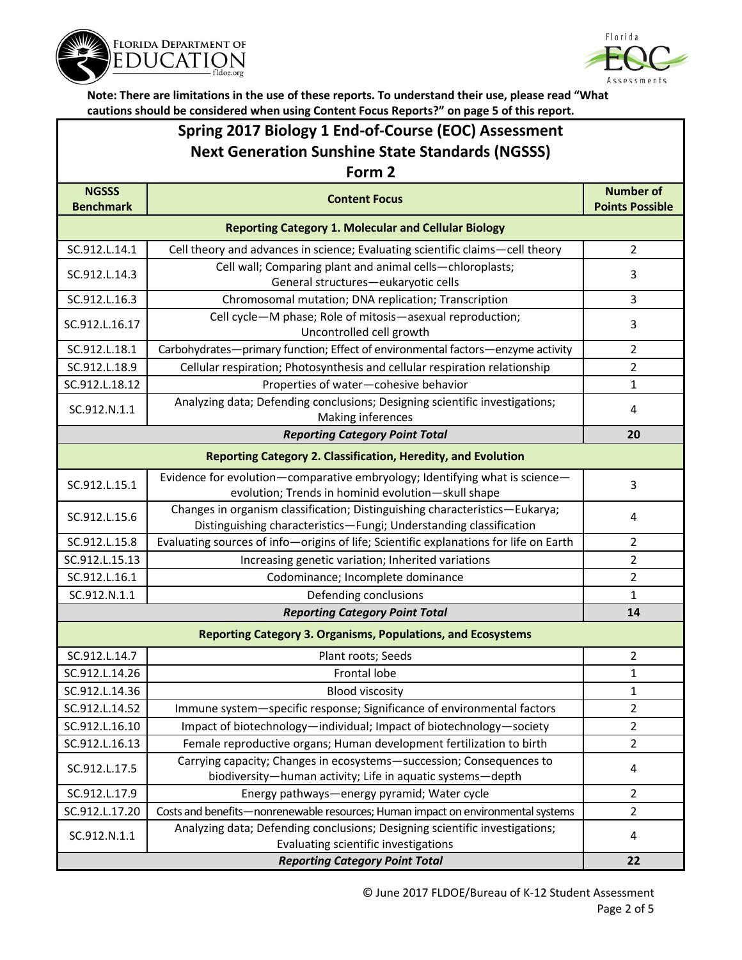



## **Spring 2017 Biology 1 End-of-Course (EOC) Assessment Next Generation Sunshine State Standards (NGSSS)**

| Form 2                                                              |                                                                                                                                                   |                                            |  |  |
|---------------------------------------------------------------------|---------------------------------------------------------------------------------------------------------------------------------------------------|--------------------------------------------|--|--|
| <b>NGSSS</b><br><b>Benchmark</b>                                    | <b>Content Focus</b>                                                                                                                              | <b>Number of</b><br><b>Points Possible</b> |  |  |
| <b>Reporting Category 1. Molecular and Cellular Biology</b>         |                                                                                                                                                   |                                            |  |  |
| SC.912.L.14.1                                                       | Cell theory and advances in science; Evaluating scientific claims-cell theory                                                                     | $\overline{2}$                             |  |  |
| SC.912.L.14.3                                                       | Cell wall; Comparing plant and animal cells-chloroplasts;<br>General structures-eukaryotic cells                                                  | 3                                          |  |  |
| SC.912.L.16.3                                                       | Chromosomal mutation; DNA replication; Transcription                                                                                              | 3                                          |  |  |
| SC.912.L.16.17                                                      | Cell cycle-M phase; Role of mitosis-asexual reproduction;<br>Uncontrolled cell growth                                                             | $\overline{3}$                             |  |  |
| SC.912.L.18.1                                                       | Carbohydrates-primary function; Effect of environmental factors-enzyme activity                                                                   | $\overline{2}$                             |  |  |
| SC.912.L.18.9                                                       | Cellular respiration; Photosynthesis and cellular respiration relationship                                                                        | $\overline{2}$                             |  |  |
| SC.912.L.18.12                                                      | Properties of water-cohesive behavior                                                                                                             | 1                                          |  |  |
| SC.912.N.1.1                                                        | Analyzing data; Defending conclusions; Designing scientific investigations;<br>Making inferences                                                  | 4                                          |  |  |
|                                                                     | <b>Reporting Category Point Total</b>                                                                                                             | 20                                         |  |  |
|                                                                     | <b>Reporting Category 2. Classification, Heredity, and Evolution</b>                                                                              |                                            |  |  |
| SC.912.L.15.1                                                       | Evidence for evolution-comparative embryology; Identifying what is science-<br>evolution; Trends in hominid evolution-skull shape                 | 3                                          |  |  |
| SC.912.L.15.6                                                       | Changes in organism classification; Distinguishing characteristics-Eukarya;<br>Distinguishing characteristics-Fungi; Understanding classification | 4                                          |  |  |
| SC.912.L.15.8                                                       | Evaluating sources of info-origins of life; Scientific explanations for life on Earth                                                             | $\overline{2}$                             |  |  |
| SC.912.L.15.13                                                      | Increasing genetic variation; Inherited variations                                                                                                | $\overline{2}$                             |  |  |
| SC.912.L.16.1                                                       | Codominance; Incomplete dominance                                                                                                                 | $\overline{2}$                             |  |  |
| SC.912.N.1.1                                                        | Defending conclusions                                                                                                                             | 1                                          |  |  |
| <b>Reporting Category Point Total</b><br>14                         |                                                                                                                                                   |                                            |  |  |
| <b>Reporting Category 3. Organisms, Populations, and Ecosystems</b> |                                                                                                                                                   |                                            |  |  |
| SC.912.L.14.7                                                       | Plant roots; Seeds                                                                                                                                | $\overline{2}$                             |  |  |
| SC.912.L.14.26                                                      | Frontal lobe                                                                                                                                      | 1                                          |  |  |
| SC.912.L.14.36                                                      | <b>Blood viscosity</b>                                                                                                                            | $\mathbf{1}$                               |  |  |
| SC.912.L.14.52                                                      | Immune system-specific response; Significance of environmental factors                                                                            | $\sqrt{2}$                                 |  |  |
| SC.912.L.16.10                                                      | Impact of biotechnology-individual; Impact of biotechnology-society                                                                               | $\overline{2}$                             |  |  |
| SC.912.L.16.13                                                      | Female reproductive organs; Human development fertilization to birth                                                                              | $\overline{2}$                             |  |  |
| SC.912.L.17.5                                                       | Carrying capacity; Changes in ecosystems-succession; Consequences to<br>biodiversity-human activity; Life in aquatic systems-depth                | 4                                          |  |  |
| SC.912.L.17.9                                                       | Energy pathways-energy pyramid; Water cycle                                                                                                       | 2                                          |  |  |
| SC.912.L.17.20                                                      | Costs and benefits—nonrenewable resources; Human impact on environmental systems                                                                  | $\overline{2}$                             |  |  |
| SC.912.N.1.1                                                        | Analyzing data; Defending conclusions; Designing scientific investigations;<br>Evaluating scientific investigations                               | 4                                          |  |  |
|                                                                     | 22                                                                                                                                                |                                            |  |  |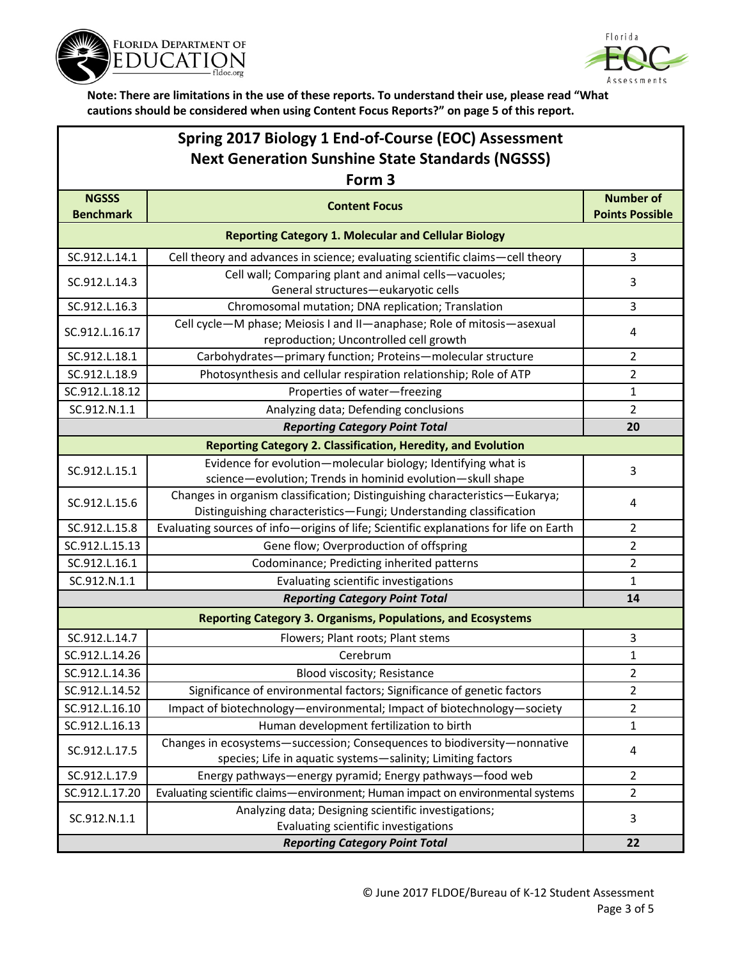



## **Spring 2017 Biology 1 End-of-Course (EOC) Assessment Next Generation Sunshine State Standards (NGSSS)**

| Form 3                                                              |                                                                                                                                                   |                                            |  |  |
|---------------------------------------------------------------------|---------------------------------------------------------------------------------------------------------------------------------------------------|--------------------------------------------|--|--|
| <b>NGSSS</b><br><b>Benchmark</b>                                    | <b>Content Focus</b>                                                                                                                              | <b>Number of</b><br><b>Points Possible</b> |  |  |
| <b>Reporting Category 1. Molecular and Cellular Biology</b>         |                                                                                                                                                   |                                            |  |  |
| SC.912.L.14.1                                                       | Cell theory and advances in science; evaluating scientific claims-cell theory                                                                     | 3                                          |  |  |
| SC.912.L.14.3                                                       | Cell wall; Comparing plant and animal cells-vacuoles;<br>General structures-eukaryotic cells                                                      | 3                                          |  |  |
| SC.912.L.16.3                                                       | Chromosomal mutation; DNA replication; Translation                                                                                                | 3                                          |  |  |
| SC.912.L.16.17                                                      | Cell cycle-M phase; Meiosis I and II-anaphase; Role of mitosis-asexual<br>reproduction; Uncontrolled cell growth                                  | 4                                          |  |  |
| SC.912.L.18.1                                                       | Carbohydrates-primary function; Proteins-molecular structure                                                                                      | 2                                          |  |  |
| SC.912.L.18.9                                                       | Photosynthesis and cellular respiration relationship; Role of ATP                                                                                 | 2                                          |  |  |
| SC.912.L.18.12                                                      | Properties of water-freezing                                                                                                                      | 1                                          |  |  |
| SC.912.N.1.1                                                        | Analyzing data; Defending conclusions                                                                                                             | 2                                          |  |  |
|                                                                     | <b>Reporting Category Point Total</b>                                                                                                             | 20                                         |  |  |
|                                                                     | <b>Reporting Category 2. Classification, Heredity, and Evolution</b>                                                                              |                                            |  |  |
| SC.912.L.15.1                                                       | Evidence for evolution-molecular biology; Identifying what is<br>science-evolution; Trends in hominid evolution-skull shape                       | 3                                          |  |  |
| SC.912.L.15.6                                                       | Changes in organism classification; Distinguishing characteristics-Eukarya;<br>Distinguishing characteristics-Fungi; Understanding classification | 4                                          |  |  |
| SC.912.L.15.8                                                       | Evaluating sources of info-origins of life; Scientific explanations for life on Earth                                                             | $\overline{2}$                             |  |  |
| SC.912.L.15.13                                                      | Gene flow; Overproduction of offspring                                                                                                            | 2                                          |  |  |
| SC.912.L.16.1                                                       | Codominance; Predicting inherited patterns                                                                                                        | $\overline{2}$                             |  |  |
| SC.912.N.1.1                                                        | Evaluating scientific investigations                                                                                                              | 1                                          |  |  |
|                                                                     | <b>Reporting Category Point Total</b>                                                                                                             | 14                                         |  |  |
| <b>Reporting Category 3. Organisms, Populations, and Ecosystems</b> |                                                                                                                                                   |                                            |  |  |
| SC.912.L.14.7                                                       | Flowers; Plant roots; Plant stems                                                                                                                 | 3                                          |  |  |
| SC.912.L.14.26                                                      | Cerebrum                                                                                                                                          | 1                                          |  |  |
| SC.912.L.14.36                                                      | Blood viscosity; Resistance                                                                                                                       | 2                                          |  |  |
| SC.912.L.14.52                                                      | Significance of environmental factors; Significance of genetic factors                                                                            | 2                                          |  |  |
| SC.912.L.16.10                                                      | Impact of biotechnology-environmental; Impact of biotechnology-society                                                                            | $\overline{\mathbf{c}}$                    |  |  |
| SC.912.L.16.13                                                      | Human development fertilization to birth                                                                                                          | 1                                          |  |  |
| SC.912.L.17.5                                                       | Changes in ecosystems-succession; Consequences to biodiversity-nonnative<br>species; Life in aquatic systems-salinity; Limiting factors           | 4                                          |  |  |
| SC.912.L.17.9                                                       | Energy pathways-energy pyramid; Energy pathways-food web                                                                                          | $\overline{2}$                             |  |  |
| SC.912.L.17.20                                                      | Evaluating scientific claims-environment; Human impact on environmental systems                                                                   | $\overline{2}$                             |  |  |
| SC.912.N.1.1                                                        | Analyzing data; Designing scientific investigations;<br>Evaluating scientific investigations                                                      | 3                                          |  |  |
|                                                                     | 22                                                                                                                                                |                                            |  |  |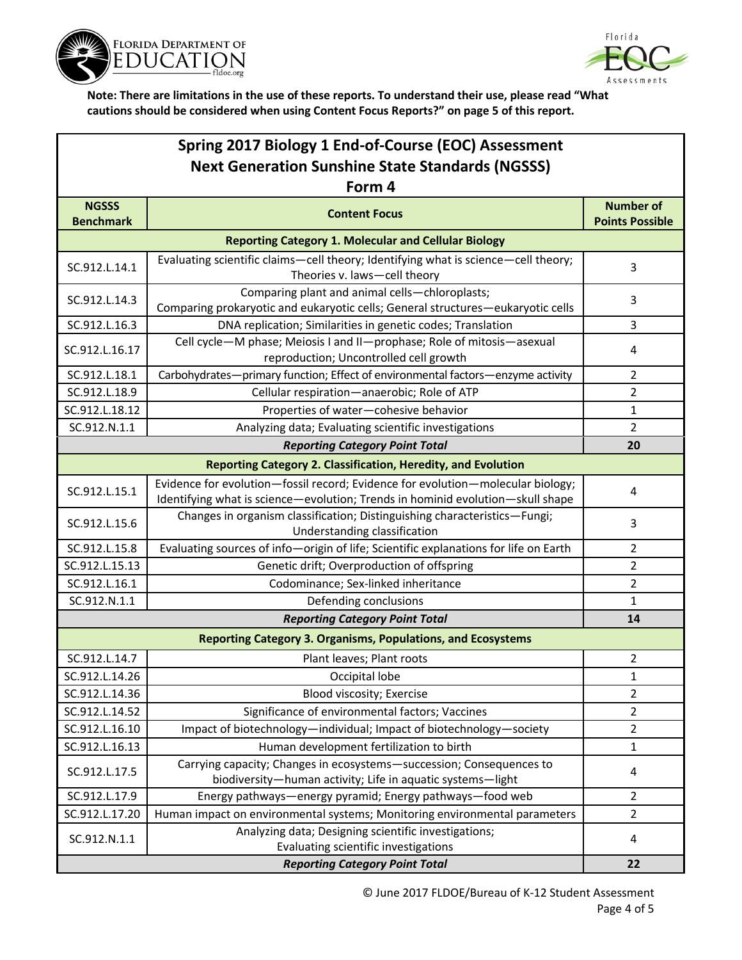



| Spring 2017 Biology 1 End-of-Course (EOC) Assessment                |                                                                                                                                                                   |                                            |  |  |
|---------------------------------------------------------------------|-------------------------------------------------------------------------------------------------------------------------------------------------------------------|--------------------------------------------|--|--|
| <b>Next Generation Sunshine State Standards (NGSSS)</b>             |                                                                                                                                                                   |                                            |  |  |
| Form 4                                                              |                                                                                                                                                                   |                                            |  |  |
| <b>NGSSS</b><br><b>Benchmark</b>                                    | <b>Content Focus</b>                                                                                                                                              | <b>Number of</b><br><b>Points Possible</b> |  |  |
|                                                                     | <b>Reporting Category 1. Molecular and Cellular Biology</b>                                                                                                       |                                            |  |  |
| SC.912.L.14.1                                                       | Evaluating scientific claims-cell theory; Identifying what is science-cell theory;<br>Theories v. laws-cell theory                                                | 3                                          |  |  |
| SC.912.L.14.3                                                       | Comparing plant and animal cells-chloroplasts;<br>Comparing prokaryotic and eukaryotic cells; General structures-eukaryotic cells                                 | 3                                          |  |  |
| SC.912.L.16.3                                                       | DNA replication; Similarities in genetic codes; Translation                                                                                                       | 3                                          |  |  |
| SC.912.L.16.17                                                      | Cell cycle-M phase; Meiosis I and II-prophase; Role of mitosis-asexual<br>reproduction; Uncontrolled cell growth                                                  | 4                                          |  |  |
| SC.912.L.18.1                                                       | Carbohydrates-primary function; Effect of environmental factors-enzyme activity                                                                                   | 2                                          |  |  |
| SC.912.L.18.9                                                       | Cellular respiration-anaerobic; Role of ATP                                                                                                                       | $\overline{2}$                             |  |  |
| SC.912.L.18.12                                                      | Properties of water-cohesive behavior                                                                                                                             | $\mathbf{1}$                               |  |  |
| SC.912.N.1.1                                                        | Analyzing data; Evaluating scientific investigations                                                                                                              | 2                                          |  |  |
|                                                                     | <b>Reporting Category Point Total</b>                                                                                                                             | 20                                         |  |  |
|                                                                     | <b>Reporting Category 2. Classification, Heredity, and Evolution</b>                                                                                              |                                            |  |  |
| SC.912.L.15.1                                                       | Evidence for evolution-fossil record; Evidence for evolution-molecular biology;<br>Identifying what is science-evolution; Trends in hominid evolution-skull shape | 4                                          |  |  |
| SC.912.L.15.6                                                       | Changes in organism classification; Distinguishing characteristics-Fungi;<br>Understanding classification                                                         | 3                                          |  |  |
| SC.912.L.15.8                                                       | Evaluating sources of info-origin of life; Scientific explanations for life on Earth                                                                              | 2                                          |  |  |
| SC.912.L.15.13                                                      | Genetic drift; Overproduction of offspring                                                                                                                        | 2                                          |  |  |
| SC.912.L.16.1                                                       | Codominance; Sex-linked inheritance                                                                                                                               | 2                                          |  |  |
| SC.912.N.1.1                                                        | Defending conclusions                                                                                                                                             | 1                                          |  |  |
|                                                                     | <b>Reporting Category Point Total</b>                                                                                                                             | 14                                         |  |  |
| <b>Reporting Category 3. Organisms, Populations, and Ecosystems</b> |                                                                                                                                                                   |                                            |  |  |
| SC.912.L.14.7                                                       | Plant leaves; Plant roots                                                                                                                                         | 2                                          |  |  |
| SC.912.L.14.26                                                      | Occipital lobe                                                                                                                                                    | 1                                          |  |  |
| SC.912.L.14.36                                                      | Blood viscosity; Exercise                                                                                                                                         | 2                                          |  |  |
| SC.912.L.14.52                                                      | Significance of environmental factors; Vaccines                                                                                                                   | $\overline{2}$                             |  |  |
| SC.912.L.16.10                                                      | Impact of biotechnology-individual; Impact of biotechnology-society                                                                                               | $\overline{2}$                             |  |  |
| SC.912.L.16.13                                                      | Human development fertilization to birth                                                                                                                          | 1                                          |  |  |
| SC.912.L.17.5                                                       | Carrying capacity; Changes in ecosystems-succession; Consequences to<br>biodiversity-human activity; Life in aquatic systems-light                                | 4                                          |  |  |
| SC.912.L.17.9                                                       | Energy pathways-energy pyramid; Energy pathways-food web                                                                                                          | $\overline{2}$                             |  |  |
| SC.912.L.17.20                                                      | Human impact on environmental systems; Monitoring environmental parameters                                                                                        | $\overline{2}$                             |  |  |
| SC.912.N.1.1                                                        | Analyzing data; Designing scientific investigations;<br>Evaluating scientific investigations                                                                      | 4                                          |  |  |
|                                                                     | <b>Reporting Category Point Total</b><br>22                                                                                                                       |                                            |  |  |